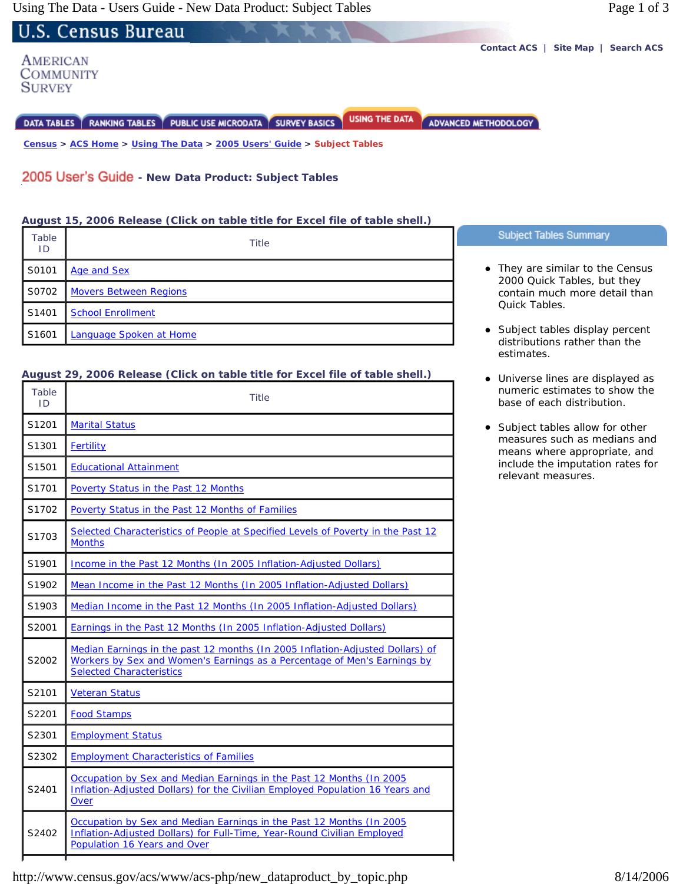U.S. Census Bureau **Contact ACS | Site Map | Search ACS**  AMERICAN **COMMUNITY SURVEY** 

DATA TABLES | RANKING TABLES | PUBLIC USE MICRODATA | SURVEY BASICS

 **Census > ACS Home > Using The Data > 2005 Users' Guide > Subject Tables**

## **2005 User's Guide - New Data Product: Subject Tables**

#### **August 15, 2006 Release (Click on table title for Excel file of table shell.)**

| Table | Title                         | Subject Tables Summary                                                                                                                                                                        |
|-------|-------------------------------|-----------------------------------------------------------------------------------------------------------------------------------------------------------------------------------------------|
| ID    |                               |                                                                                                                                                                                               |
| S0101 | Age and Sex                   | • They are similar to the Census<br>2000 Quick Tables, but they<br>contain much more detail than<br><b>Ouick Tables.</b><br>• Subject tables display percent<br>distributions rather than the |
| S0702 | <b>Movers Between Regions</b> |                                                                                                                                                                                               |
| S1401 | <b>School Enrollment</b>      |                                                                                                                                                                                               |
| S1601 | Language Spoken at Home       |                                                                                                                                                                                               |
|       |                               |                                                                                                                                                                                               |

**USING THE DATA** 

ADVANCED METHODOLOGY

### **August 29, 2006 Release (Click on table title for Excel file of table shell.)**

| Table<br>ID       | Title                                                                                                                                                                                        |
|-------------------|----------------------------------------------------------------------------------------------------------------------------------------------------------------------------------------------|
| S1201             | <b>Marital Status</b>                                                                                                                                                                        |
| S1301             | <b>Fertility</b>                                                                                                                                                                             |
| S1501             | <b>Educational Attainment</b>                                                                                                                                                                |
| S1701             | Poverty Status in the Past 12 Months                                                                                                                                                         |
| S1702             | Poverty Status in the Past 12 Months of Families                                                                                                                                             |
| S <sub>1703</sub> | Selected Characteristics of People at Specified Levels of Poverty in the Past 12<br><b>Months</b>                                                                                            |
| S1901             | Income in the Past 12 Months (In 2005 Inflation-Adjusted Dollars)                                                                                                                            |
| S1902             | Mean Income in the Past 12 Months (In 2005 Inflation-Adjusted Dollars)                                                                                                                       |
| S <sub>1903</sub> | Median Income in the Past 12 Months (In 2005 Inflation-Adjusted Dollars)                                                                                                                     |
| S2001             | Earnings in the Past 12 Months (In 2005 Inflation-Adjusted Dollars)                                                                                                                          |
| S2002             | Median Earnings in the past 12 months (In 2005 Inflation-Adjusted Dollars) of<br>Workers by Sex and Women's Earnings as a Percentage of Men's Earnings by<br><b>Selected Characteristics</b> |
| S2101             | <b>Veteran Status</b>                                                                                                                                                                        |
| S2201             | <b>Food Stamps</b>                                                                                                                                                                           |
| S2301             | <b>Employment Status</b>                                                                                                                                                                     |
| S2302             | <b>Employment Characteristics of Families</b>                                                                                                                                                |
| S2401             | Occupation by Sex and Median Earnings in the Past 12 Months (In 2005<br>Inflation-Adjusted Dollars) for the Civilian Employed Population 16 Years and<br>Over                                |
| S2402             | Occupation by Sex and Median Earnings in the Past 12 Months (In 2005<br>Inflation-Adjusted Dollars) for Full-Time, Year-Round Civilian Employed<br>Population 16 Years and Over              |

- contain much more detail than
- estimates.
- Universe lines are displayed as numeric estimates to show the base of each distribution.
- Subject tables allow for other measures such as medians and means where appropriate, and include the imputation rates for relevant measures.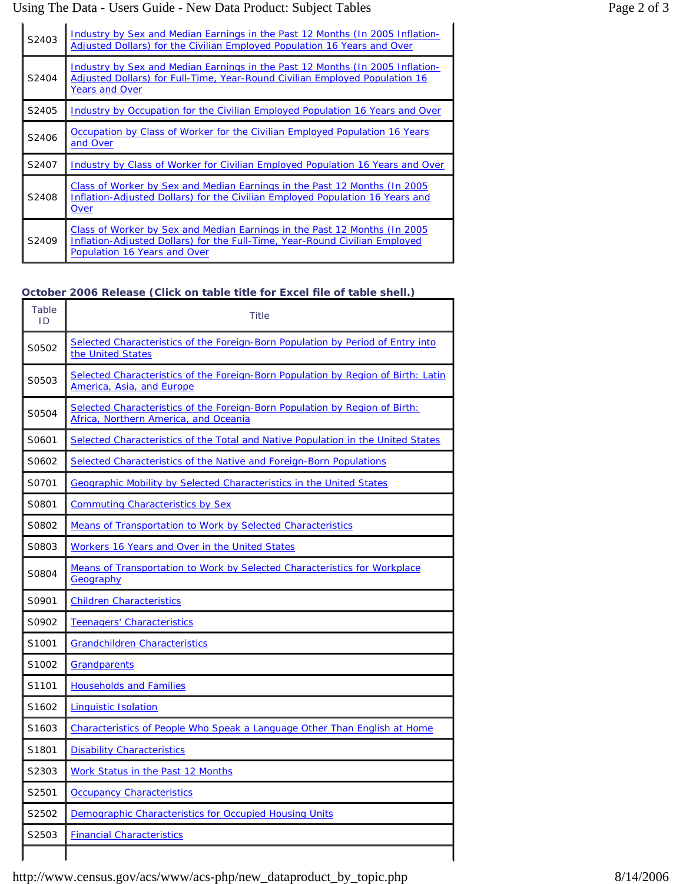### Using The Data - Users Guide - New Data Product: Subject Tables Page 2 of 3

| S2403 | Industry by Sex and Median Earnings in the Past 12 Months (In 2005 Inflation-<br>Adjusted Dollars) for the Civilian Employed Population 16 Years and Over                                 |
|-------|-------------------------------------------------------------------------------------------------------------------------------------------------------------------------------------------|
| S2404 | Industry by Sex and Median Earnings in the Past 12 Months (In 2005 Inflation-<br>Adjusted Dollars) for Full-Time, Year-Round Civilian Employed Population 16<br><b>Years and Over</b>     |
| S2405 | Industry by Occupation for the Civilian Employed Population 16 Years and Over                                                                                                             |
| S2406 | Occupation by Class of Worker for the Civilian Employed Population 16 Years<br>and Over                                                                                                   |
| S2407 | Industry by Class of Worker for Civilian Employed Population 16 Years and Over                                                                                                            |
| S2408 | Class of Worker by Sex and Median Earnings in the Past 12 Months (In 2005)<br>Inflation-Adjusted Dollars) for the Civilian Employed Population 16 Years and<br>Over                       |
| S2409 | Class of Worker by Sex and Median Earnings in the Past 12 Months (In 2005)<br>Inflation-Adjusted Dollars) for the Full-Time, Year-Round Civilian Employed<br>Population 16 Years and Over |

# **October 2006 Release (Click on table title for Excel file of table shell.)**

| Table<br>ID       | <b>Title</b>                                                                                                         |
|-------------------|----------------------------------------------------------------------------------------------------------------------|
| S0502             | Selected Characteristics of the Foreign-Born Population by Period of Entry into<br>the United States                 |
| S0503             | Selected Characteristics of the Foreign-Born Population by Region of Birth: Latin<br>America, Asia, and Europe       |
| S0504             | Selected Characteristics of the Foreign-Born Population by Region of Birth:<br>Africa, Northern America, and Oceania |
| S0601             | Selected Characteristics of the Total and Native Population in the United States                                     |
| S0602             | Selected Characteristics of the Native and Foreign-Born Populations                                                  |
| S0701             | <b>Geographic Mobility by Selected Characteristics in the United States</b>                                          |
| S0801             | <b>Commuting Characteristics by Sex</b>                                                                              |
| S0802             | <b>Means of Transportation to Work by Selected Characteristics</b>                                                   |
| S0803             | Workers 16 Years and Over in the United States                                                                       |
| S0804             | Means of Transportation to Work by Selected Characteristics for Workplace<br>Geography                               |
| S0901             | <b>Children Characteristics</b>                                                                                      |
| S0902             | Teenagers' Characteristics                                                                                           |
| S1001             | <b>Grandchildren Characteristics</b>                                                                                 |
| S1002             | <b>Grandparents</b>                                                                                                  |
| S1101             | <b>Households and Families</b>                                                                                       |
| S1602             | <b>Linguistic Isolation</b>                                                                                          |
| S <sub>1603</sub> | Characteristics of People Who Speak a Language Other Than English at Home                                            |
| S1801             | <b>Disability Characteristics</b>                                                                                    |
| S2303             | Work Status in the Past 12 Months                                                                                    |
| S2501             | <b>Occupancy Characteristics</b>                                                                                     |
| S2502             | Demographic Characteristics for Occupied Housing Units                                                               |
| S2503             | <b>Financial Characteristics</b>                                                                                     |
|                   |                                                                                                                      |

http://www.census.gov/acs/www/acs-php/new\_dataproduct\_by\_topic.php 8/14/2006